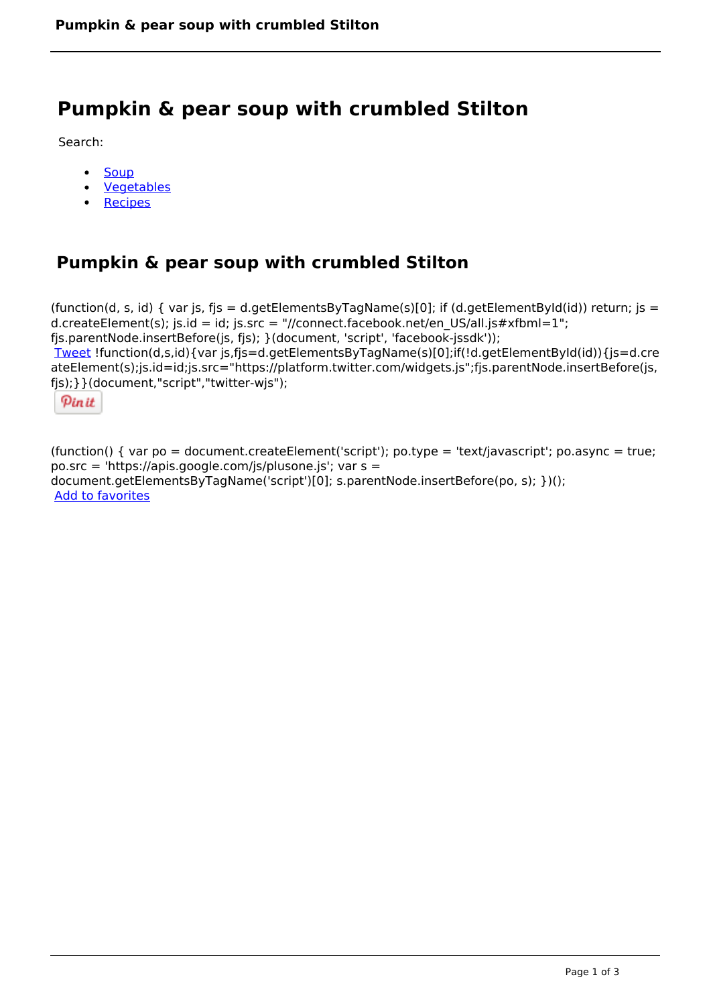# **Pumpkin & pear soup with crumbled Stilton**

Search:

- **[Soup](https://www.naturalhealthmag.com.au/nourish/soup)**  $\bullet$
- [Vegetables](https://www.naturalhealthmag.com.au/nourish/veg)  $\bullet$
- **[Recipes](https://www.naturalhealthmag.com.au/nourish/recipes)**

## **Pumpkin & pear soup with crumbled Stilton**

```
(function(d, s, id) { var js, fjs = d.getElementsByTagName(s)[0]; if (d.getElementById(id)) return; is =
d.createElement(s); js.id = id; js.src = "//connect.facebook.net/en_US/all.js#xfbml=1";
fjs.parentNode.insertBefore(js, fjs); }(document, 'script', 'facebook-jssdk')); 
Tweet !function(d,s,id){var js,fjs=d.getElementsByTagName(s)[0];if(!d.getElementById(id)){js=d.cre
ateElement(s);js.id=id;js.src="https://platform.twitter.com/widgets.js";fjs.parentNode.insertBefore(js,
fjs);}}(document,"script","twitter-wjs"); 
 Pin it
```
(function() { var po = document.createElement('script'); po.type = 'text/javascript'; po.async = true; po.src = 'https://apis.google.com/js/plusone.js'; var s = document.getElementsByTagName('script')[0]; s.parentNode.insertBefore(po, s); })(); Add to favorites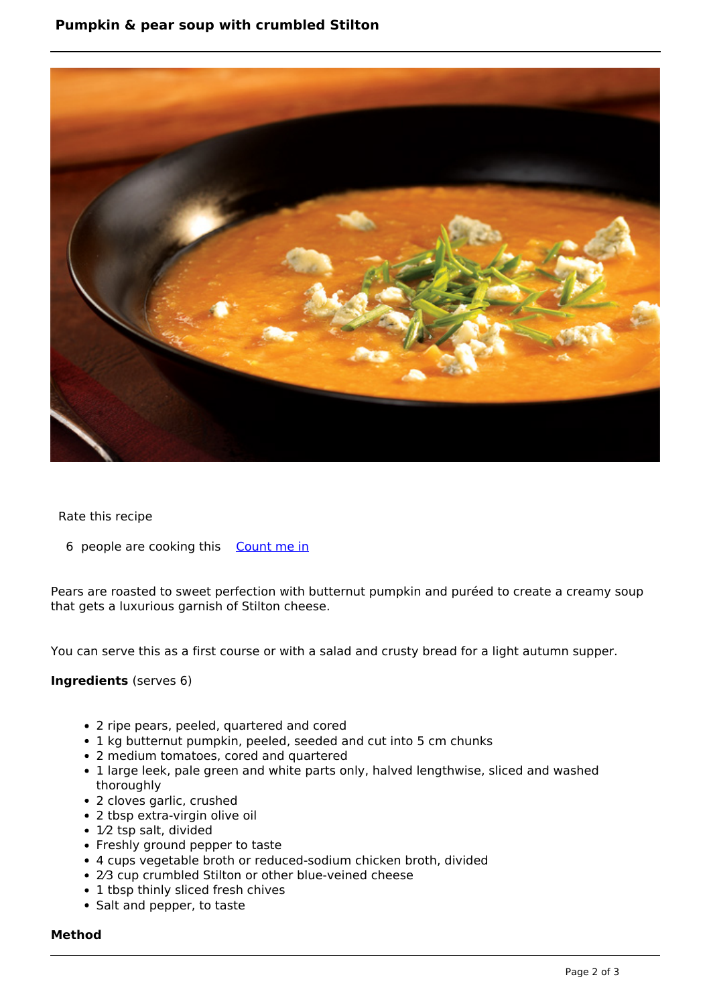### **Pumpkin & pear soup with crumbled Stilton**



#### Rate this recipe

6 people are cooking this [Count me in](https://www.naturalhealthmag.com.au/flag/flag/favorites/544?destination=printpdf%2F544&token=2b55cbc80dde06093ff2edcea946d220)

Pears are roasted to sweet perfection with butternut pumpkin and puréed to create a creamy soup that gets a luxurious garnish of Stilton cheese.

You can serve this as a first course or with a salad and crusty bread for a light autumn supper.

#### **Ingredients** (serves 6)

- 2 ripe pears, peeled, quartered and cored
- 1 kg butternut pumpkin, peeled, seeded and cut into 5 cm chunks
- 2 medium tomatoes, cored and quartered
- 1 large leek, pale green and white parts only, halved lengthwise, sliced and washed thoroughly
- 2 cloves garlic, crushed
- 2 tbsp extra-virgin olive oil
- 1⁄2 tsp salt, divided
- Freshly ground pepper to taste
- 4 cups vegetable broth or reduced-sodium chicken broth, divided
- 2⁄3 cup crumbled Stilton or other blue-veined cheese
- 1 tbsp thinly sliced fresh chives
- Salt and pepper, to taste

#### **Method**